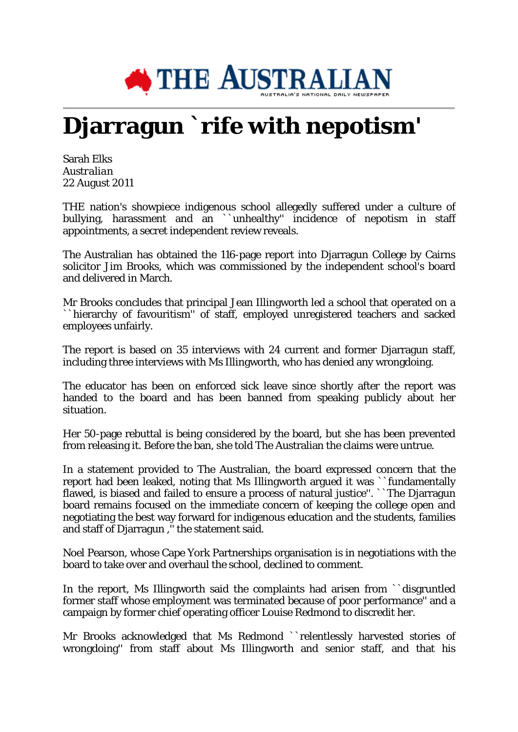

## **Djarragun `rife with nepotism'**

Sarah Elks *Australian* 22 August 2011

THE nation's showpiece indigenous school allegedly suffered under a culture of bullying, harassment and an ``unhealthy'' incidence of nepotism in staff appointments, a secret independent review reveals.

The Australian has obtained the 116-page report into Djarragun College by Cairns solicitor Jim Brooks, which was commissioned by the independent school's board and delivered in March.

Mr Brooks concludes that principal Jean Illingworth led a school that operated on a ``hierarchy of favouritism'' of staff, employed unregistered teachers and sacked employees unfairly.

The report is based on 35 interviews with 24 current and former Djarragun staff, including three interviews with Ms Illingworth, who has denied any wrongdoing.

The educator has been on enforced sick leave since shortly after the report was handed to the board and has been banned from speaking publicly about her situation.

Her 50-page rebuttal is being considered by the board, but she has been prevented from releasing it. Before the ban, she told The Australian the claims were untrue.

In a statement provided to The Australian, the board expressed concern that the report had been leaked, noting that Ms Illingworth argued it was ``fundamentally flawed, is biased and failed to ensure a process of natural justice". ``The Djarragun board remains focused on the immediate concern of keeping the college open and negotiating the best way forward for indigenous education and the students, families and staff of Djarragun ,'' the statement said.

Noel Pearson, whose Cape York Partnerships organisation is in negotiations with the board to take over and overhaul the school, declined to comment.

In the report, Ms Illingworth said the complaints had arisen from ``disgruntled former staff whose employment was terminated because of poor performance'' and a campaign by former chief operating officer Louise Redmond to discredit her.

Mr Brooks acknowledged that Ms Redmond ``relentlessly harvested stories of wrongdoing'' from staff about Ms Illingworth and senior staff, and that his